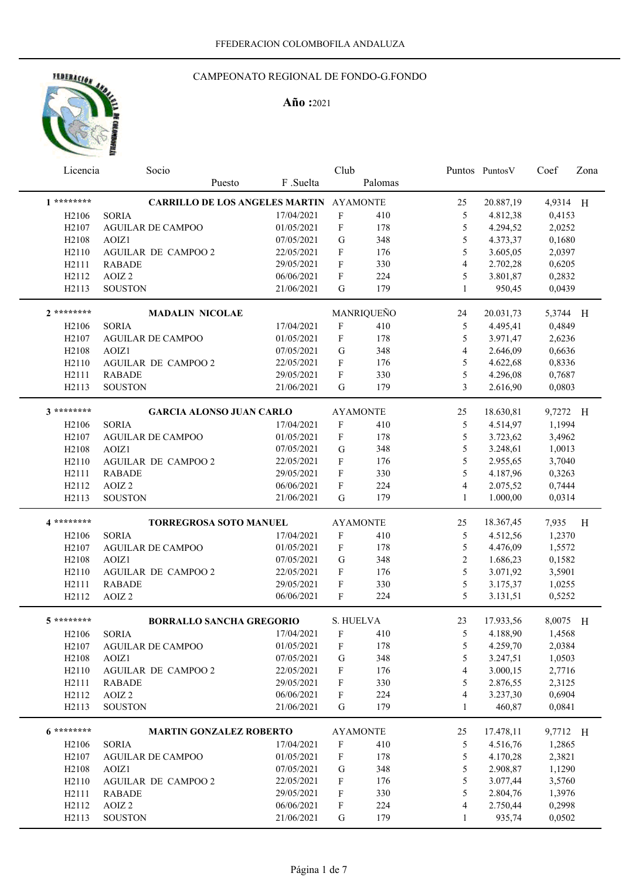# HEDERACION AND

### CAMPEONATO REGIONAL DE FONDO-G.FONDO

| Licencia                | Socio                                          |              | Club                      |                 |                | Puntos Puntos V | Coef     | Zona                    |
|-------------------------|------------------------------------------------|--------------|---------------------------|-----------------|----------------|-----------------|----------|-------------------------|
|                         | Puesto                                         | F.Suelta     |                           | Palomas         |                |                 |          |                         |
| $1********$             | <b>CARRILLO DE LOS ANGELES MARTIN AYAMONTE</b> |              |                           |                 | 25             | 20.887,19       | 4,9314 H |                         |
| H <sub>2106</sub>       | <b>SORIA</b>                                   | 17/04/2021   | $\mathbf F$               | 410             | 5              | 4.812,38        | 0,4153   |                         |
| H <sub>2107</sub>       | <b>AGUILAR DE CAMPOO</b>                       | 01/05/2021   | $\mathbf F$               | 178             | 5              | 4.294,52        | 2,0252   |                         |
| H <sub>2108</sub>       | AOIZ1                                          | 07/05/2021   | ${\bf G}$                 | 348             | 5              | 4.373,37        | 0,1680   |                         |
| H2110                   | AGUILAR DE CAMPOO 2                            | 22/05/2021   | F                         | 176             | 5              | 3.605,05        | 2,0397   |                         |
| H2111                   | <b>RABADE</b>                                  | 29/05/2021   | $\boldsymbol{\mathrm{F}}$ | 330             | $\overline{4}$ | 2.702,28        | 0,6205   |                         |
| H2112                   | AOIZ <sub>2</sub>                              | 06/06/2021   | ${\bf F}$                 | 224             | 5              | 3.801,87        | 0,2832   |                         |
| H2113                   | <b>SOUSTON</b>                                 | 21/06/2021   | G                         | 179             | $\mathbf{1}$   | 950,45          | 0,0439   |                         |
| $2*******$              | <b>MADALIN NICOLAE</b>                         |              |                           | MANRIQUEÑO      | 24             | 20.031,73       | 5,3744 H |                         |
| H <sub>2106</sub>       | <b>SORIA</b>                                   | 17/04/2021   | $\mathbf F$               | 410             | 5              | 4.495,41        | 0,4849   |                         |
| H <sub>2107</sub>       | <b>AGUILAR DE CAMPOO</b>                       | 01/05/2021   | ${\bf F}$                 | 178             | 5              | 3.971,47        | 2,6236   |                         |
| H <sub>2108</sub>       | AOIZ1                                          | 07/05/2021   | G                         | 348             | 4              | 2.646,09        | 0,6636   |                         |
| H2110                   | AGUILAR DE CAMPOO 2                            | 22/05/2021   | F                         | 176             | 5              | 4.622,68        | 0,8336   |                         |
| H2111                   | <b>RABADE</b>                                  | 29/05/2021   | F                         | 330             | 5              | 4.296,08        | 0,7687   |                         |
| H2113                   | <b>SOUSTON</b>                                 | 21/06/2021   | G                         | 179             | $\overline{3}$ | 2.616,90        | 0,0803   |                         |
| $3*******$              | <b>GARCIA ALONSO JUAN CARLO</b>                |              |                           | <b>AYAMONTE</b> | 25             | 18.630,81       | 9,7272 H |                         |
| H <sub>2106</sub>       | <b>SORIA</b>                                   | 17/04/2021   | F                         | 410             | 5              | 4.514,97        | 1,1994   |                         |
| H <sub>2107</sub>       | <b>AGUILAR DE CAMPOO</b>                       | 01/05/2021   | F                         | 178             | 5              | 3.723,62        | 3,4962   |                         |
| H <sub>2108</sub>       | AOIZ1                                          | 07/05/2021   | G                         | 348             | 5              | 3.248,61        | 1,0013   |                         |
| H2110                   | <b>AGUILAR DE CAMPOO 2</b>                     | 22/05/2021   | F                         | 176             | 5              | 2.955,65        | 3,7040   |                         |
| H2111                   | <b>RABADE</b>                                  | 29/05/2021   | F                         | 330             | 5              | 4.187,96        | 0,3263   |                         |
| H2112                   | AOIZ <sub>2</sub>                              | 06/06/2021   | F                         | 224             | 4              | 2.075,52        | 0,7444   |                         |
| H2113                   | <b>SOUSTON</b>                                 | 21/06/2021   | G                         | 179             | $\mathbf{1}$   | 1.000,00        | 0,0314   |                         |
| 4 *********             | <b>TORREGROSA SOTO MANUEL</b>                  |              |                           | <b>AYAMONTE</b> | 25             | 18.367,45       | 7,935    | $\overline{\mathbf{H}}$ |
| H <sub>2106</sub>       | <b>SORIA</b>                                   | 17/04/2021   | F                         | 410             | 5              | 4.512,56        | 1,2370   |                         |
| H <sub>2107</sub>       | <b>AGUILAR DE CAMPOO</b>                       | 01/05/2021   | F                         | 178             | 5              | 4.476,09        | 1,5572   |                         |
| H <sub>2108</sub>       | AOIZ1                                          | 07/05/2021   | G                         | 348             | $\overline{2}$ | 1.686,23        | 0,1582   |                         |
| H2110                   | <b>AGUILAR DE CAMPOO 2</b>                     | 22/05/2021   | F                         | 176             | 5              | 3.071,92        | 3,5901   |                         |
| H2111                   | <b>RABADE</b>                                  | 29/05/2021   | $\mathbf F$               | 330             | 5              | 3.175,37        | 1,0255   |                         |
| H2112                   | AOIZ <sub>2</sub>                              | 06/06/2021   | F                         | 224             | 5              | 3.131,51        | 0,5252   |                         |
|                         |                                                |              |                           |                 |                |                 |          |                         |
| $5********$             | <b>BORRALLO SANCHA GREGORIO</b>                |              |                           | S. HUELVA       | 23             | 17.933,56       | 8,0075 H |                         |
| H <sub>2106</sub> SORIA |                                                | 17/04/2021 F |                           | 410             |                | 5 4.188,90      | 1,4568   |                         |
| H <sub>2</sub> 107      | <b>AGUILAR DE CAMPOO</b>                       | 01/05/2021   | F                         | 178             | 5              | 4.259,70        | 2,0384   |                         |
| H <sub>2</sub> 108      | AOIZ1                                          | 07/05/2021   | ${\bf G}$                 | 348             | 5              | 3.247,51        | 1,0503   |                         |
| H2110                   | AGUILAR DE CAMPOO 2                            | 22/05/2021   | F                         | 176             | 4              | 3.000,15        | 2,7716   |                         |
| H2111                   | <b>RABADE</b>                                  | 29/05/2021   | F                         | 330             | 5              | 2.876,55        | 2,3125   |                         |
| H2112                   | AOIZ <sub>2</sub>                              | 06/06/2021   | F                         | 224             | 4              | 3.237,30        | 0,6904   |                         |
| H2113                   | <b>SOUSTON</b>                                 | 21/06/2021   | G                         | 179             | $\mathbf{1}$   | 460,87          | 0,0841   |                         |
| 6 *********             | <b>MARTIN GONZALEZ ROBERTO</b>                 |              |                           | <b>AYAMONTE</b> | 25             | 17.478,11       | 9,7712 H |                         |
| H <sub>2</sub> 106      | <b>SORIA</b>                                   | 17/04/2021   | $\boldsymbol{\mathrm{F}}$ | 410             | 5              | 4.516,76        | 1,2865   |                         |
| H <sub>2</sub> 107      | <b>AGUILAR DE CAMPOO</b>                       | 01/05/2021   | F                         | 178             | 5              | 4.170,28        | 2,3821   |                         |
| H2108                   | AOIZ1                                          | 07/05/2021   | G                         | 348             | 5              | 2.908,87        | 1,1290   |                         |
| H2110                   | AGUILAR DE CAMPOO 2                            | 22/05/2021   | F                         | 176             | 5              | 3.077,44        | 3,5760   |                         |
| H2111                   | <b>RABADE</b>                                  | 29/05/2021   | F                         | 330             | 5              | 2.804,76        | 1,3976   |                         |
| H2112                   | AOIZ <sub>2</sub>                              | 06/06/2021   | F                         | 224             | 4              | 2.750,44        | 0,2998   |                         |
| H2113                   | <b>SOUSTON</b>                                 | 21/06/2021   | G                         | 179             | $\mathbf{1}$   | 935,74          | 0,0502   |                         |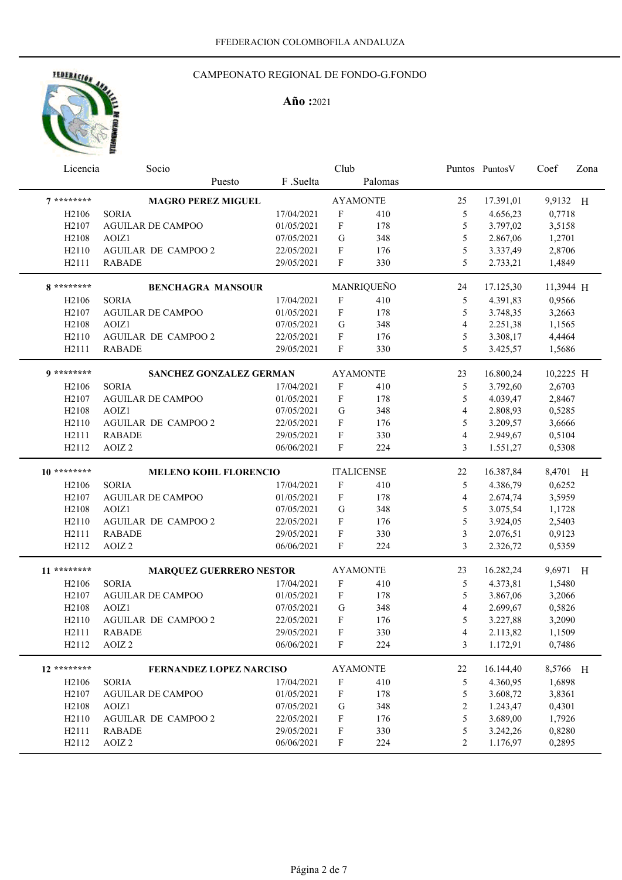

# CAMPEONATO REGIONAL DE FONDO-G.FONDO

| Licencia                       | Socio                          |            | Club                      |                   |                | Puntos Puntos V | Coef      | Zona |
|--------------------------------|--------------------------------|------------|---------------------------|-------------------|----------------|-----------------|-----------|------|
|                                | Puesto                         | F .Suelta  |                           | Palomas           |                |                 |           |      |
| $7********$                    | <b>MAGRO PEREZ MIGUEL</b>      |            |                           | <b>AYAMONTE</b>   | 25             | 17.391,01       | 9,9132 H  |      |
| H <sub>2106</sub>              | <b>SORIA</b>                   | 17/04/2021 | F                         | 410               | 5              | 4.656,23        | 0,7718    |      |
| H2107                          | <b>AGUILAR DE CAMPOO</b>       | 01/05/2021 | F                         | 178               | 5              | 3.797,02        | 3,5158    |      |
| H <sub>2108</sub>              | AOIZ1                          | 07/05/2021 | $\mathbf G$               | 348               | 5              | 2.867,06        | 1,2701    |      |
| H2110                          | <b>AGUILAR DE CAMPOO 2</b>     | 22/05/2021 | F                         | 176               | 5              | 3.337,49        | 2,8706    |      |
| H2111                          | <b>RABADE</b>                  | 29/05/2021 | ${\bf F}$                 | 330               | 5              | 2.733,21        | 1,4849    |      |
| 8 *********                    | <b>BENCHAGRA MANSOUR</b>       |            |                           | MANRIQUEÑO        | 24             | 17.125,30       | 11,3944 H |      |
| H <sub>2106</sub>              | <b>SORIA</b>                   | 17/04/2021 | $\rm F$                   | 410               | 5              | 4.391,83        | 0,9566    |      |
| H <sub>2107</sub>              | <b>AGUILAR DE CAMPOO</b>       | 01/05/2021 | $\mathbf F$               | 178               | $\mathfrak s$  | 3.748,35        | 3,2663    |      |
| H2108                          | AOIZ1                          | 07/05/2021 | ${\bf G}$                 | 348               | $\overline{4}$ | 2.251,38        | 1,1565    |      |
| H2110                          | <b>AGUILAR DE CAMPOO 2</b>     | 22/05/2021 | F                         | 176               | $\mathfrak s$  | 3.308,17        | 4,4464    |      |
| H2111                          | <b>RABADE</b>                  | 29/05/2021 | F                         | 330               | 5              | 3.425,57        | 1,5686    |      |
| $9*******$                     | <b>SANCHEZ GONZALEZ GERMAN</b> |            |                           | <b>AYAMONTE</b>   | 23             | 16.800,24       | 10,2225 H |      |
| H <sub>2106</sub>              | <b>SORIA</b>                   | 17/04/2021 | $\boldsymbol{\mathrm{F}}$ | 410               | 5              | 3.792,60        | 2,6703    |      |
| H <sub>2107</sub>              | <b>AGUILAR DE CAMPOO</b>       | 01/05/2021 | F                         | 178               | 5              | 4.039,47        | 2,8467    |      |
| H <sub>2108</sub>              | AOIZ1                          | 07/05/2021 | $\mathbf G$               | 348               | $\overline{4}$ | 2.808,93        | 0,5285    |      |
| H2110                          | AGUILAR DE CAMPOO 2            | 22/05/2021 | F                         | 176               | 5              | 3.209,57        | 3,6666    |      |
| H2111                          | <b>RABADE</b>                  | 29/05/2021 | F                         | 330               | $\overline{4}$ | 2.949,67        | 0,5104    |      |
| H2112                          | AOIZ <sub>2</sub>              | 06/06/2021 | F                         | 224               | 3              | 1.551,27        | 0,5308    |      |
| $10*******$                    | MELENO KOHL FLORENCIO          |            |                           | <b>ITALICENSE</b> | 22             | 16.387,84       | 8,4701 H  |      |
| H <sub>2106</sub>              | <b>SORIA</b>                   | 17/04/2021 | F                         | 410               | 5              | 4.386,79        | 0,6252    |      |
| H <sub>2107</sub>              | <b>AGUILAR DE CAMPOO</b>       | 01/05/2021 | F                         | 178               | 4              | 2.674,74        | 3,5959    |      |
| H <sub>2108</sub>              | AOIZ1                          | 07/05/2021 | G                         | 348               | 5              | 3.075,54        | 1,1728    |      |
| H2110                          | <b>AGUILAR DE CAMPOO 2</b>     | 22/05/2021 | F                         | 176               | 5              | 3.924,05        | 2,5403    |      |
| H2111                          | <b>RABADE</b>                  | 29/05/2021 | F                         | 330               | 3              | 2.076,51        | 0,9123    |      |
| H2112                          | AOIZ <sub>2</sub>              | 06/06/2021 | F                         | 224               | $\overline{3}$ | 2.326,72        | 0,5359    |      |
| 11 ********                    | <b>MARQUEZ GUERRERO NESTOR</b> |            |                           | <b>AYAMONTE</b>   | 23             | 16.282,24       | 9,6971 H  |      |
| H <sub>2106</sub>              | <b>SORIA</b>                   | 17/04/2021 | F                         | 410               | 5              | 4.373,81        | 1,5480    |      |
| H <sub>2107</sub>              | <b>AGUILAR DE CAMPOO</b>       | 01/05/2021 | F                         | 178               | 5              | 3.867,06        | 3,2066    |      |
| H <sub>2108</sub>              | AOIZ1                          | 07/05/2021 | $\mathbf G$               | 348               | $\overline{4}$ | 2.699,67        | 0,5826    |      |
| H <sub>2110</sub>              | <b>AGUILAR DE CAMPOO 2</b>     | 22/05/2021 | ${\bf F}$                 | 176               | 5              | 3.227,88        | 3,2090    |      |
| H2111                          | <b>RABADE</b>                  | 29/05/2021 | $\mathbf F$               | 330               | $\overline{4}$ | 2.113,82        | 1,1509    |      |
| H <sub>2</sub> 11 <sub>2</sub> | AOIZ <sub>2</sub>              | 06/06/2021 | F                         | 224               | 3              | 1.172,91        | 0,7486    |      |
| 12 ********                    | <b>FERNANDEZ LOPEZ NARCISO</b> |            |                           | <b>AYAMONTE</b>   | 22             | 16.144,40       | 8,5766 H  |      |
| H <sub>2106</sub>              | <b>SORIA</b>                   | 17/04/2021 | $\boldsymbol{\mathrm{F}}$ | 410               | 5              | 4.360,95        | 1,6898    |      |
| H2107                          | <b>AGUILAR DE CAMPOO</b>       | 01/05/2021 | F                         | 178               | $\mathfrak s$  | 3.608,72        | 3,8361    |      |
| H2108                          | AOIZ1                          | 07/05/2021 | G                         | 348               | 2              | 1.243,47        | 0,4301    |      |
| H2110                          | AGUILAR DE CAMPOO 2            | 22/05/2021 | F                         | 176               | 5              | 3.689,00        | 1,7926    |      |
| H2111                          | <b>RABADE</b>                  | 29/05/2021 | F                         | 330               | 5              | 3.242,26        | 0,8280    |      |
|                                |                                |            |                           |                   |                | 1.176,97        | 0,2895    |      |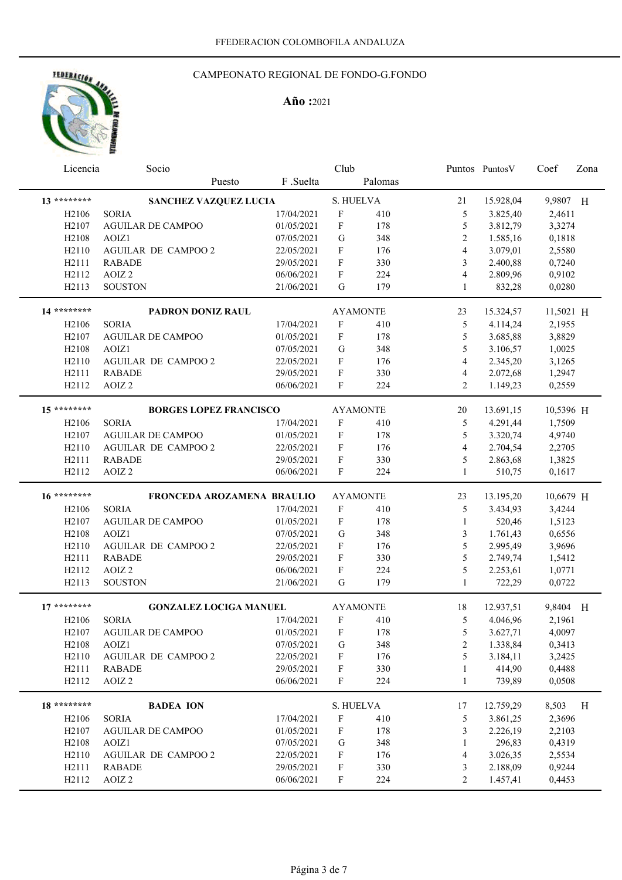# CAMPEONATO REGIONAL DE FONDO-G.FONDO

|  | <b>ADDRESS AND ALL CONDUCTS</b> |  |
|--|---------------------------------|--|
|  |                                 |  |
|  |                                 |  |
|  |                                 |  |
|  |                                 |  |

|                                | Licencia<br>Socio             |            | Club                      |                 |                         | Puntos Puntos V | Coef      | Zona |
|--------------------------------|-------------------------------|------------|---------------------------|-----------------|-------------------------|-----------------|-----------|------|
|                                | Puesto                        | F .Suelta  |                           | Palomas         |                         |                 |           |      |
| 13 ********                    | SANCHEZ VAZQUEZ LUCIA         |            | S. HUELVA                 |                 | 21                      | 15.928,04       | 9,9807 H  |      |
| H <sub>2106</sub>              | <b>SORIA</b>                  | 17/04/2021 | $\mathbf{F}$              | 410             | 5                       | 3.825,40        | 2,4611    |      |
| H <sub>2107</sub>              | <b>AGUILAR DE CAMPOO</b>      | 01/05/2021 | F                         | 178             | 5                       | 3.812,79        | 3,3274    |      |
| H <sub>2</sub> 108             | AOIZ1                         | 07/05/2021 | G                         | 348             | $\overline{2}$          | 1.585,16        | 0,1818    |      |
| H2110                          | AGUILAR DE CAMPOO 2           | 22/05/2021 | F                         | 176             | $\overline{\mathbf{4}}$ | 3.079,01        | 2,5580    |      |
| H2111                          | <b>RABADE</b>                 | 29/05/2021 | F                         | 330             | 3                       | 2.400,88        | 0,7240    |      |
| H2112                          | AOIZ <sub>2</sub>             | 06/06/2021 | F                         | 224             | 4                       | 2.809,96        | 0,9102    |      |
| H2113                          | <b>SOUSTON</b>                | 21/06/2021 | G                         | 179             | 1                       | 832,28          | 0,0280    |      |
| 14 ********                    | PADRON DONIZ RAUL             |            |                           | <b>AYAMONTE</b> | 23                      | 15.324,57       | 11,5021 H |      |
| H <sub>2106</sub>              | <b>SORIA</b>                  | 17/04/2021 | F                         | 410             | 5                       | 4.114,24        | 2,1955    |      |
| H <sub>2107</sub>              | AGUILAR DE CAMPOO             | 01/05/2021 | F                         | 178             | 5                       | 3.685,88        | 3,8829    |      |
| H2108                          | AOIZ1                         | 07/05/2021 | G                         | 348             | 5                       | 3.106,57        | 1,0025    |      |
| H <sub>2110</sub>              | <b>AGUILAR DE CAMPOO 2</b>    | 22/05/2021 | F                         | 176             | 4                       | 2.345,20        | 3,1265    |      |
| H2111                          | <b>RABADE</b>                 | 29/05/2021 | F                         | 330             | 4                       | 2.072,68        | 1,2947    |      |
| H2112                          | AOIZ <sub>2</sub>             | 06/06/2021 | F                         | 224             | 2                       | 1.149,23        | 0,2559    |      |
| $15******$                     | <b>BORGES LOPEZ FRANCISCO</b> |            |                           | <b>AYAMONTE</b> | 20                      | 13.691,15       | 10,5396 H |      |
| H <sub>2106</sub>              | <b>SORIA</b>                  | 17/04/2021 | $\mathbf F$               | 410             | 5                       | 4.291,44        | 1,7509    |      |
| H <sub>2107</sub>              | <b>AGUILAR DE CAMPOO</b>      | 01/05/2021 | $\mathbf F$               | 178             | 5                       | 3.320,74        | 4,9740    |      |
| H2110                          | <b>AGUILAR DE CAMPOO 2</b>    | 22/05/2021 | $\mathbf F$               | 176             | 4                       | 2.704,54        | 2,2705    |      |
| H2111                          | <b>RABADE</b>                 | 29/05/2021 | F                         | 330             | 5                       | 2.863,68        | 1,3825    |      |
| H2112                          | AOIZ <sub>2</sub>             | 06/06/2021 | F                         | 224             | $\mathbf{1}$            | 510,75          | 0,1617    |      |
| 16 ********                    | FRONCEDA AROZAMENA BRAULIO    |            |                           | <b>AYAMONTE</b> | 23                      | 13.195,20       | 10,6679 H |      |
|                                |                               |            |                           |                 |                         |                 |           |      |
| H <sub>2106</sub>              | <b>SORIA</b>                  | 17/04/2021 | $\mathbf F$               | 410             | 5                       | 3.434,93        | 3,4244    |      |
| H <sub>2107</sub>              | <b>AGUILAR DE CAMPOO</b>      | 01/05/2021 | $\boldsymbol{\mathrm{F}}$ | 178             | $\mathbf{1}$            | 520,46          | 1,5123    |      |
| H2108                          | AOIZ1                         | 07/05/2021 | G                         | 348             | 3                       | 1.761,43        | 0,6556    |      |
| H <sub>2110</sub>              | AGUILAR DE CAMPOO 2           | 22/05/2021 | F                         | 176             | 5                       | 2.995,49        | 3,9696    |      |
| H2111                          | <b>RABADE</b>                 | 29/05/2021 | F                         | 330             | 5                       | 2.749,74        | 1,5412    |      |
| H2112                          | AOIZ <sub>2</sub>             | 06/06/2021 | F                         | 224             | 5                       | 2.253,61        | 1,0771    |      |
| H2113                          | <b>SOUSTON</b>                | 21/06/2021 | G                         | 179             | 1                       | 722,29          | 0,0722    |      |
| $17******$                     | <b>GONZALEZ LOCIGA MANUEL</b> |            |                           | <b>AYAMONTE</b> | 18                      | 12.937,51       | 9,8404 H  |      |
| H <sub>2106</sub>              | <b>SORIA</b>                  | 17/04/2021 | F                         | 410             | 5                       | 4.046,96        | 2,1961    |      |
| H2107                          | AGUILAR DE CAMPOO             | 01/05/2021 | F                         | 178             | 5                       | 3.627,71        | 4,0097    |      |
| H <sub>2108</sub>              | AOIZ1                         | 07/05/2021 | G                         | 348             | 2                       | 1.338,84        | 0,3413    |      |
| H <sub>2110</sub>              | AGUILAR DE CAMPOO 2           | 22/05/2021 | $\mathbf F$               | 176             | 5                       | 3.184,11        | 3,2425    |      |
| H <sub>2111</sub>              | <b>RABADE</b>                 | 29/05/2021 | F                         | 330             | 1                       | 414,90          | 0,4488    |      |
| H <sub>2</sub> 11 <sub>2</sub> | AOIZ <sub>2</sub>             | 06/06/2021 | F                         | 224             | 1                       | 739,89          | 0,0508    |      |
| 18 ********                    | <b>BADEA ION</b>              |            | S. HUELVA                 |                 | 17                      | 12.759,29       | 8,503     | H    |
| H <sub>2106</sub>              | <b>SORIA</b>                  | 17/04/2021 | $\mathbf F$               | 410             | 5                       | 3.861,25        | 2,3696    |      |
| H <sub>2107</sub>              | <b>AGUILAR DE CAMPOO</b>      | 01/05/2021 | F                         | 178             | 3                       | 2.226,19        | 2,2103    |      |
| H2108                          | AOIZ1                         | 07/05/2021 | G                         | 348             | 1                       | 296,83          | 0,4319    |      |
| H2110                          | <b>AGUILAR DE CAMPOO 2</b>    | 22/05/2021 | F                         | 176             | 4                       | 3.026,35        | 2,5534    |      |
| H2111<br>H2112                 | <b>RABADE</b>                 | 29/05/2021 | F                         | 330<br>224      | 3                       | 2.188,09        | 0,9244    |      |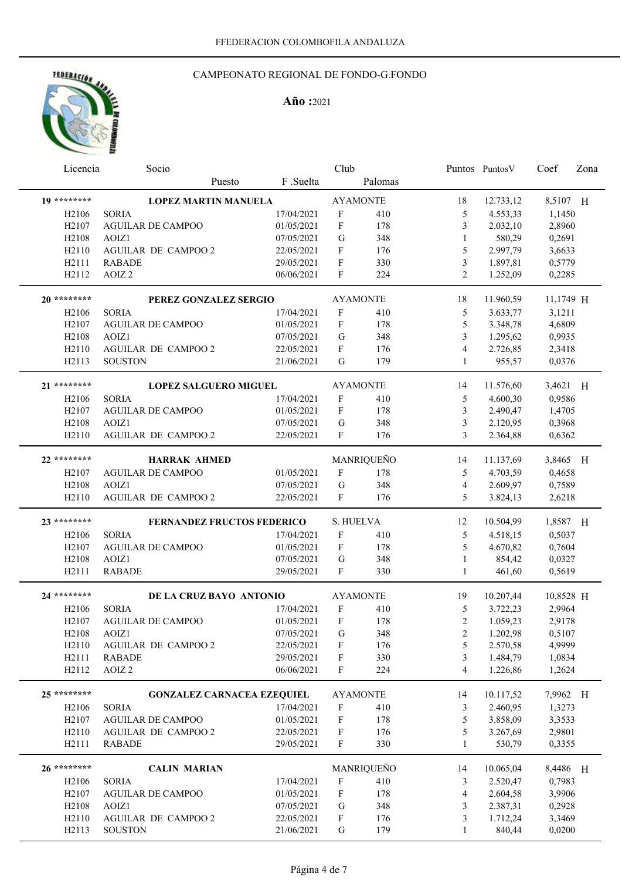# CAMPEONATO REGIONAL DE FONDO-G.FONDO

| <b>COLUMN AND A</b> |   |
|---------------------|---|
|                     |   |
|                     |   |
|                     |   |
|                     | è |
|                     |   |

| Licencia           | Socio                             |            | Club                      |                 |                  | Puntos Puntos V | Coef      | Zona |
|--------------------|-----------------------------------|------------|---------------------------|-----------------|------------------|-----------------|-----------|------|
|                    | Puesto                            | F .Suelta  |                           | Palomas         |                  |                 |           |      |
| 19 ********        | <b>LOPEZ MARTIN MANUELA</b>       |            |                           | <b>AYAMONTE</b> | 18               | 12.733,12       | 8,5107 H  |      |
| H <sub>2106</sub>  | <b>SORIA</b>                      | 17/04/2021 | $\mathbf{F}$              | 410             | 5                | 4.553,33        | 1,1450    |      |
| H <sub>2107</sub>  | <b>AGUILAR DE CAMPOO</b>          | 01/05/2021 | $\boldsymbol{\mathrm{F}}$ | 178             | 3                | 2.032,10        | 2,8960    |      |
| H <sub>2108</sub>  | AOIZ1                             | 07/05/2021 | G                         | 348             | 1                | 580,29          | 0,2691    |      |
| H2110              | <b>AGUILAR DE CAMPOO 2</b>        | 22/05/2021 | $\boldsymbol{\mathrm{F}}$ | 176             | $\mathfrak s$    | 2.997,79        | 3,6633    |      |
| H2111              | <b>RABADE</b>                     | 29/05/2021 | F                         | 330             | 3                | 1.897,81        | 0,5779    |      |
| H2112              | AOIZ <sub>2</sub>                 | 06/06/2021 | F                         | 224             | 2                | 1.252,09        | 0,2285    |      |
| 20 ********        | PEREZ GONZALEZ SERGIO             |            |                           | <b>AYAMONTE</b> | 18               | 11.960,59       | 11,1749 H |      |
| H <sub>2106</sub>  | <b>SORIA</b>                      | 17/04/2021 | $\mathbf{F}$              | 410             | 5                | 3.633,77        | 3,1211    |      |
| H <sub>2107</sub>  | <b>AGUILAR DE CAMPOO</b>          | 01/05/2021 | F                         | 178             | 5                | 3.348,78        | 4,6809    |      |
| H <sub>2</sub> 108 | AOIZ1                             | 07/05/2021 | G                         | 348             | 3                | 1.295,62        | 0,9935    |      |
| H <sub>2110</sub>  | AGUILAR DE CAMPOO 2               | 22/05/2021 | F                         | 176             | 4                | 2.726,85        | 2,3418    |      |
| H2113              | <b>SOUSTON</b>                    | 21/06/2021 | G                         | 179             | $\mathbf{1}$     | 955,57          | 0,0376    |      |
| 21 ********        | <b>LOPEZ SALGUERO MIGUEL</b>      |            |                           | <b>AYAMONTE</b> | 14               | 11.576,60       | 3,4621 H  |      |
| H <sub>2106</sub>  | <b>SORIA</b>                      | 17/04/2021 | F                         | 410             | 5                | 4.600,30        | 0,9586    |      |
| H <sub>2107</sub>  | <b>AGUILAR DE CAMPOO</b>          | 01/05/2021 | F                         | 178             | 3                | 2.490,47        | 1,4705    |      |
| H <sub>2</sub> 108 | AOIZ1                             | 07/05/2021 | G                         | 348             | 3                | 2.120,95        | 0,3968    |      |
| H <sub>2110</sub>  | <b>AGUILAR DE CAMPOO 2</b>        | 22/05/2021 | F                         | 176             | 3                | 2.364,88        | 0,6362    |      |
| 22 ********        | <b>HARRAK AHMED</b>               |            |                           | MANRIQUEÑO      | 14               | 11.137,69       | 3,8465 H  |      |
| H <sub>2107</sub>  | <b>AGUILAR DE CAMPOO</b>          | 01/05/2021 | F                         | 178             | 5                | 4.703,59        | 0,4658    |      |
| H <sub>2108</sub>  | AOIZ1                             | 07/05/2021 | $\mathbf G$               | 348             | 4                | 2.609,97        | 0,7589    |      |
| H <sub>2110</sub>  | AGUILAR DE CAMPOO 2               | 22/05/2021 | $\mathbf{F}$              | 176             | 5                | 3.824,13        | 2,6218    |      |
| 23 ********        | <b>FERNANDEZ FRUCTOS FEDERICO</b> |            | S. HUELVA                 |                 | 12               | 10.504,99       | 1,8587 H  |      |
| H <sub>2106</sub>  | <b>SORIA</b>                      | 17/04/2021 | F                         | 410             | 5                | 4.518,15        | 0,5037    |      |
| H <sub>2</sub> 107 | <b>AGUILAR DE CAMPOO</b>          | 01/05/2021 | F                         | 178             | 5                | 4.670,82        | 0,7604    |      |
| H <sub>2108</sub>  | AOIZ1                             | 07/05/2021 | G                         | 348             | $\mathbf{1}$     | 854,42          | 0,0327    |      |
| H2111              | <b>RABADE</b>                     | 29/05/2021 | F                         | 330             | 1                | 461,60          | 0,5619    |      |
| 24 ********        | DE LA CRUZ BAYO ANTONIO           |            |                           | <b>AYAMONTE</b> | 19               | 10.207,44       | 10,8528 H |      |
| H <sub>2106</sub>  | <b>SORIA</b>                      | 17/04/2021 | $\mathbf{F}$              | 410             | 5                | 3.722,23        | 2,9964    |      |
| H <sub>2107</sub>  | <b>AGUILAR DE CAMPOO</b>          | 01/05/2021 | $\mathbf F$               | 178             | $\overline{c}$   | 1.059,23        | 2,9178    |      |
| H <sub>2</sub> 108 | AOIZ1                             | 07/05/2021 | ${\bf G}$                 | 348             | $\boldsymbol{2}$ | 1.202,98        | 0,5107    |      |
| H <sub>2110</sub>  | AGUILAR DE CAMPOO 2               | 22/05/2021 | F                         | 176             | 5                | 2.570,58        | 4,9999    |      |
| H2111              | <b>RABADE</b>                     | 29/05/2021 | $\boldsymbol{\mathrm{F}}$ | 330             | 3                | 1.484,79        | 1,0834    |      |
| H2112              | AOIZ <sub>2</sub>                 | 06/06/2021 | $\boldsymbol{\mathrm{F}}$ | 224             | $\overline{4}$   | 1.226,86        | 1,2624    |      |
| 25 ********        | <b>GONZALEZ CARNACEA EZEQUIEL</b> |            |                           | <b>AYAMONTE</b> | 14               | 10.117,52       | 7,9962 H  |      |
| H <sub>2106</sub>  | <b>SORIA</b>                      | 17/04/2021 | $\mathbf F$               | 410             | 3                | 2.460,95        | 1,3273    |      |
| H <sub>2107</sub>  | <b>AGUILAR DE CAMPOO</b>          | 01/05/2021 | F                         | 178             | 5                | 3.858,09        | 3,3533    |      |
| H <sub>2110</sub>  | <b>AGUILAR DE CAMPOO 2</b>        | 22/05/2021 | F                         | 176             | 5                | 3.267,69        | 2,9801    |      |
| H2111              | <b>RABADE</b>                     | 29/05/2021 | $\boldsymbol{F}$          | 330             | 1                | 530,79          | 0,3355    |      |
| 26 ********        | <b>CALIN MARIAN</b>               |            |                           | MANRIQUEÑO      | 14               | 10.065,04       | 8,4486 H  |      |
| H <sub>2</sub> 106 | <b>SORIA</b>                      | 17/04/2021 | $\mathbf F$               | 410             | 3                | 2.520,47        | 0,7983    |      |
| H <sub>2107</sub>  | <b>AGUILAR DE CAMPOO</b>          | 01/05/2021 | $\boldsymbol{F}$          | 178             | 4                | 2.604,58        | 3,9906    |      |
| H <sub>2</sub> 108 | AOIZ1                             | 07/05/2021 | G                         | 348             | 3                | 2.387,31        | 0,2928    |      |
| H2110              | AGUILAR DE CAMPOO 2               | 22/05/2021 | $\boldsymbol{F}$          | 176             | 3                | 1.712,24        | 3,3469    |      |
| H2113              | <b>SOUSTON</b>                    | 21/06/2021 | G                         | 179             | $\mathbf{1}$     | 840,44          | 0,0200    |      |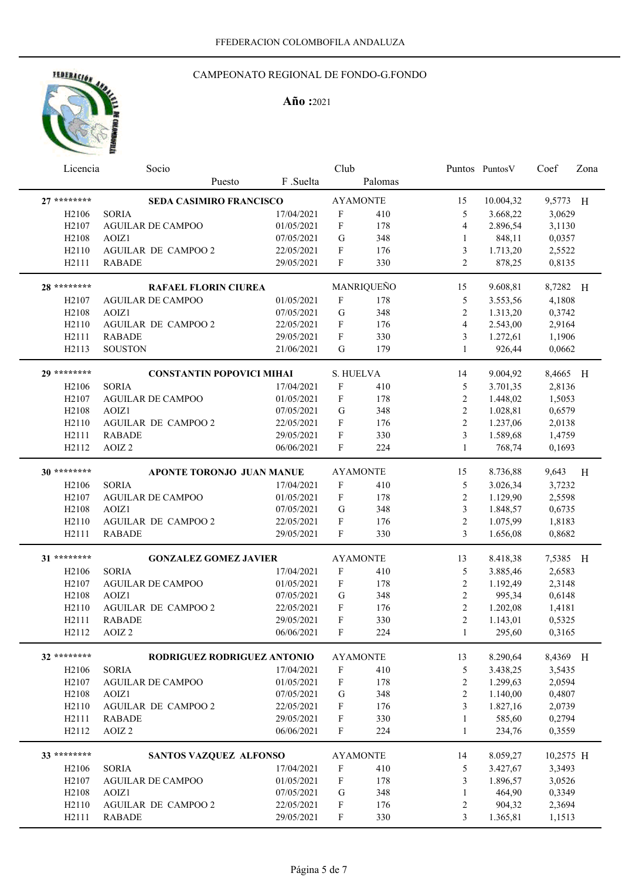# HEBERACION AND

# CAMPEONATO REGIONAL DE FONDO-G.FONDO

| Licencia           | Socio                            |            | Club                      |                 |                  | Puntos Puntos V | Coef      | Zona |
|--------------------|----------------------------------|------------|---------------------------|-----------------|------------------|-----------------|-----------|------|
|                    | Puesto                           | F .Suelta  |                           | Palomas         |                  |                 |           |      |
| $27*******$        | SEDA CASIMIRO FRANCISCO          |            |                           | <b>AYAMONTE</b> | 15               | 10.004,32       | 9,5773 H  |      |
| H <sub>2106</sub>  | <b>SORIA</b>                     | 17/04/2021 | $\boldsymbol{\mathrm{F}}$ | 410             | 5                | 3.668,22        | 3,0629    |      |
| H <sub>2107</sub>  | <b>AGUILAR DE CAMPOO</b>         | 01/05/2021 | F                         | 178             | $\overline{4}$   | 2.896,54        | 3,1130    |      |
| H <sub>2108</sub>  | AOIZ1                            | 07/05/2021 | G                         | 348             | 1                | 848,11          | 0,0357    |      |
| H2110              | <b>AGUILAR DE CAMPOO 2</b>       | 22/05/2021 | F                         | 176             | 3                | 1.713,20        | 2,5522    |      |
| H2111              | <b>RABADE</b>                    | 29/05/2021 | F                         | 330             | $\overline{2}$   | 878,25          | 0,8135    |      |
| 28 ********        | RAFAEL FLORIN CIUREA             |            |                           | MANRIQUEÑO      | 15               | 9.608,81        | 8,7282 H  |      |
| H <sub>2107</sub>  | <b>AGUILAR DE CAMPOO</b>         | 01/05/2021 | F                         | 178             | 5                | 3.553,56        | 4,1808    |      |
| H <sub>2</sub> 108 | AOIZ1                            | 07/05/2021 | ${\bf G}$                 | 348             | $\overline{c}$   | 1.313,20        | 0,3742    |      |
| H2110              | <b>AGUILAR DE CAMPOO 2</b>       | 22/05/2021 | F                         | 176             | $\overline{4}$   | 2.543,00        | 2,9164    |      |
| H2111              | <b>RABADE</b>                    | 29/05/2021 | F                         | 330             | 3                | 1.272,61        | 1,1906    |      |
| H2113              | <b>SOUSTON</b>                   | 21/06/2021 | G                         | 179             | 1                | 926,44          | 0,0662    |      |
| 29 ********        | <b>CONSTANTIN POPOVICI MIHAI</b> |            | S. HUELVA                 |                 | 14               | 9.004,92        | 8,4665 H  |      |
| H <sub>2106</sub>  | <b>SORIA</b>                     | 17/04/2021 | $\boldsymbol{\mathrm{F}}$ | 410             | 5                | 3.701,35        | 2,8136    |      |
| H2107              | <b>AGUILAR DE CAMPOO</b>         | 01/05/2021 | F                         | 178             | $\boldsymbol{2}$ | 1.448,02        | 1,5053    |      |
| H <sub>2108</sub>  | AOIZ1                            | 07/05/2021 | G                         | 348             | $\sqrt{2}$       | 1.028,81        | 0,6579    |      |
| H2110              | <b>AGUILAR DE CAMPOO 2</b>       | 22/05/2021 | $\mathbf{F}$              | 176             | $\overline{2}$   | 1.237,06        | 2,0138    |      |
| H2111              | <b>RABADE</b>                    | 29/05/2021 | F                         | 330             | 3                | 1.589,68        | 1,4759    |      |
| H2112              | AOIZ <sub>2</sub>                | 06/06/2021 | F                         | 224             | 1                | 768,74          | 0,1693    |      |
|                    |                                  |            |                           |                 |                  |                 |           |      |
| $30*******$        | APONTE TORONJO JUAN MANUE        |            |                           | <b>AYAMONTE</b> | 15               | 8.736,88        | 9,643     | H    |
| H <sub>2106</sub>  | <b>SORIA</b>                     | 17/04/2021 | F                         | 410             | 5                | 3.026,34        | 3,7232    |      |
| H <sub>2107</sub>  | <b>AGUILAR DE CAMPOO</b>         | 01/05/2021 | F                         | 178             | 2                | 1.129,90        | 2,5598    |      |
| H <sub>2108</sub>  | AOIZ1                            | 07/05/2021 | G                         | 348             | 3                | 1.848,57        | 0,6735    |      |
| H2110              | <b>AGUILAR DE CAMPOO 2</b>       | 22/05/2021 | F                         | 176             | $\overline{2}$   | 1.075,99        | 1,8183    |      |
| H2111              | <b>RABADE</b>                    | 29/05/2021 | F                         | 330             | 3                | 1.656,08        | 0,8682    |      |
| 31 ********        | <b>GONZALEZ GOMEZ JAVIER</b>     |            |                           | <b>AYAMONTE</b> | 13               | 8.418,38        | 7,5385 H  |      |
| H <sub>2</sub> 106 | <b>SORIA</b>                     | 17/04/2021 | $\boldsymbol{\mathrm{F}}$ | 410             | 5                | 3.885,46        | 2,6583    |      |
| H <sub>2107</sub>  | <b>AGUILAR DE CAMPOO</b>         | 01/05/2021 | F                         | 178             | 2                | 1.192,49        | 2,3148    |      |
| H <sub>2</sub> 108 | AOIZ1                            | 07/05/2021 | G                         | 348             | $\overline{2}$   | 995,34          | 0,6148    |      |
| H2110              | <b>AGUILAR DE CAMPOO 2</b>       | 22/05/2021 | F                         | 176             | $\overline{2}$   | 1.202,08        | 1,4181    |      |
| H2111              | RABADE                           | 29/05/2021 | F                         | 330             | $\overline{2}$   | 1.143,01        | 0,5325    |      |
| H2112              | AOIZ <sub>2</sub>                | 06/06/2021 | $\mathbf F$               | 224             | $\mathbf{1}$     | 295,60          | 0,3165    |      |
| 32 ********        | RODRIGUEZ RODRIGUEZ ANTONIO      |            |                           | <b>AYAMONTE</b> | 13               | 8.290,64        | 8,4369 H  |      |
|                    |                                  | 17/04/2021 | $\boldsymbol{\mathrm{F}}$ |                 |                  |                 |           |      |
| H <sub>2</sub> 106 | <b>SORIA</b>                     |            |                           | 410             | 5                | 3.438,25        | 3,5435    |      |
| H2107              | <b>AGUILAR DE CAMPOO</b>         | 01/05/2021 | $\boldsymbol{\mathrm{F}}$ | 178             | $\sqrt{2}$       | 1.299,63        | 2,0594    |      |
| H2108              | AOIZ1                            | 07/05/2021 | G                         | 348             | 2                | 1.140,00        | 0,4807    |      |
| H2110              | <b>AGUILAR DE CAMPOO 2</b>       | 22/05/2021 | F                         | 176             | 3                | 1.827,16        | 2,0739    |      |
| H2111              | <b>RABADE</b>                    | 29/05/2021 | $\boldsymbol{\mathrm{F}}$ | 330             | $\mathbf{1}$     | 585,60          | 0,2794    |      |
| H2112              | AOIZ <sub>2</sub>                | 06/06/2021 | F                         | 224             | $\mathbf{1}$     | 234,76          | 0,3559    |      |
| 33 ********        | SANTOS VAZQUEZ ALFONSO           |            |                           | <b>AYAMONTE</b> | 14               | 8.059,27        | 10,2575 H |      |
| H <sub>2</sub> 106 | <b>SORIA</b>                     | 17/04/2021 | $\boldsymbol{\mathrm{F}}$ | 410             | 5                | 3.427,67        | 3,3493    |      |
| H <sub>2107</sub>  | <b>AGUILAR DE CAMPOO</b>         | 01/05/2021 | $\boldsymbol{\mathrm{F}}$ | 178             | 3                | 1.896,57        | 3,0526    |      |
| H2108              | AOIZ1                            | 07/05/2021 | G                         | 348             | 1                | 464,90          | 0,3349    |      |
| H2110              | <b>AGUILAR DE CAMPOO 2</b>       | 22/05/2021 | F                         | 176             | $\overline{c}$   | 904,32          | 2,3694    |      |
| H2111              | <b>RABADE</b>                    | 29/05/2021 | $\boldsymbol{\mathrm{F}}$ | 330             | 3                | 1.365,81        | 1,1513    |      |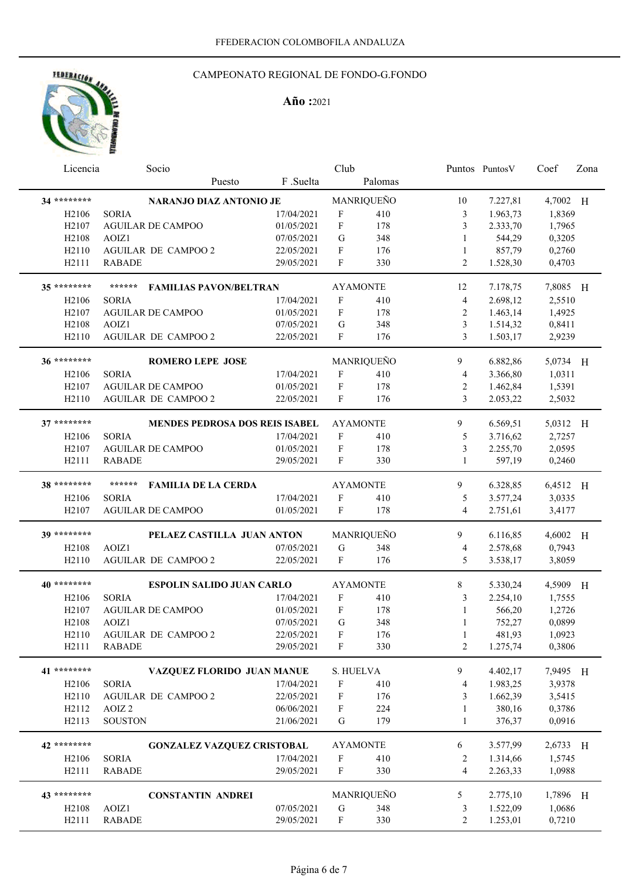# FEDERACIÓN AND

## CAMPEONATO REGIONAL DE FONDO-G.FONDO

| Licencia           | Socio                                   |            | Club                      |            |                | Puntos Puntos V | Coef     | Zona |
|--------------------|-----------------------------------------|------------|---------------------------|------------|----------------|-----------------|----------|------|
|                    | Puesto                                  | F .Suelta  |                           | Palomas    |                |                 |          |      |
| 34 ********        | NARANJO DIAZ ANTONIO JE                 |            |                           | MANRIQUEÑO | 10             | 7.227,81        | 4,7002 H |      |
| H <sub>2106</sub>  | <b>SORIA</b>                            | 17/04/2021 | F                         | 410        | 3              | 1.963,73        | 1,8369   |      |
| H <sub>2107</sub>  | <b>AGUILAR DE CAMPOO</b>                | 01/05/2021 | $\mathbf F$               | 178        | 3              | 2.333,70        | 1,7965   |      |
| H2108              | AOIZ1                                   | 07/05/2021 | G                         | 348        | 1              | 544,29          | 0,3205   |      |
| H <sub>2110</sub>  | <b>AGUILAR DE CAMPOO 2</b>              | 22/05/2021 | F                         | 176        | 1              | 857,79          | 0,2760   |      |
| H2111              | <b>RABADE</b>                           | 29/05/2021 | F                         | 330        | 2              | 1.528,30        | 0,4703   |      |
|                    |                                         |            |                           |            |                |                 |          |      |
| 35 ********        | ******<br><b>FAMILIAS PAVON/BELTRAN</b> |            | <b>AYAMONTE</b>           |            | 12             | 7.178,75        | 7,8085 H |      |
| H <sub>2106</sub>  | <b>SORIA</b>                            | 17/04/2021 | F                         | 410        | 4              | 2.698,12        | 2,5510   |      |
| H <sub>2107</sub>  | <b>AGUILAR DE CAMPOO</b>                | 01/05/2021 | F                         | 178        | $\overline{c}$ | 1.463,14        | 1,4925   |      |
| H <sub>2108</sub>  | AOIZ1                                   | 07/05/2021 | G                         | 348        | 3              | 1.514,32        | 0,8411   |      |
| H <sub>2110</sub>  | AGUILAR DE CAMPOO 2                     | 22/05/2021 | $\mathbf{F}$              | 176        | 3              | 1.503,17        | 2,9239   |      |
|                    |                                         |            |                           |            |                |                 |          |      |
| 36 *********       | <b>ROMERO LEPE JOSE</b>                 |            |                           | MANRIQUEÑO | 9              | 6.882,86        | 5,0734 H |      |
| H <sub>2106</sub>  | <b>SORIA</b>                            | 17/04/2021 | F                         | 410        | 4              | 3.366,80        | 1,0311   |      |
| H <sub>2107</sub>  | <b>AGUILAR DE CAMPOO</b>                | 01/05/2021 | F                         | 178        | 2              | 1.462,84        | 1,5391   |      |
| H <sub>2110</sub>  | AGUILAR DE CAMPOO 2                     | 22/05/2021 | F                         | 176        | 3              | 2.053,22        | 2,5032   |      |
| $37******$         |                                         |            |                           |            |                |                 |          |      |
|                    | MENDES PEDROSA DOS REIS ISABEL          |            | <b>AYAMONTE</b>           |            | 9              | 6.569,51        | 5,0312 H |      |
| H <sub>2106</sub>  | <b>SORIA</b>                            | 17/04/2021 | F                         | 410        | 5              | 3.716,62        | 2,7257   |      |
| H <sub>2107</sub>  | <b>AGUILAR DE CAMPOO</b>                | 01/05/2021 | $\mathbf F$               | 178        | 3              | 2.255,70        | 2,0595   |      |
| H2111              | <b>RABADE</b>                           | 29/05/2021 | F                         | 330        | $\mathbf{1}$   | 597,19          | 0,2460   |      |
| 38 *********       | ******<br><b>FAMILIA DE LA CERDA</b>    |            | <b>AYAMONTE</b>           |            | 9              | 6.328,85        | 6,4512 H |      |
| H <sub>2</sub> 106 | <b>SORIA</b>                            | 17/04/2021 | F                         | 410        | 5              | 3.577,24        | 3,0335   |      |
| H <sub>2</sub> 107 | <b>AGUILAR DE CAMPOO</b>                | 01/05/2021 | $\mathbf{F}$              | 178        | $\overline{4}$ | 2.751,61        | 3,4177   |      |
|                    |                                         |            |                           |            |                |                 |          |      |
| 39 ********        | PELAEZ CASTILLA JUAN ANTON              |            |                           | MANRIQUEÑO | 9              | 6.116,85        | 4,6002 H |      |
| H <sub>2108</sub>  | AOIZ1                                   | 07/05/2021 | G                         | 348        | 4              | 2.578,68        | 0,7943   |      |
| H <sub>2110</sub>  | <b>AGUILAR DE CAMPOO 2</b>              | 22/05/2021 | $\mathbf F$               | 176        | 5              | 3.538,17        | 3,8059   |      |
| 40 *********       |                                         |            |                           |            |                |                 |          |      |
|                    | <b>ESPOLIN SALIDO JUAN CARLO</b>        |            | <b>AYAMONTE</b>           |            | 8              | 5.330,24        | 4,5909 H |      |
| H <sub>2106</sub>  | <b>SORIA</b>                            | 17/04/2021 | F                         | 410        | 3              | 2.254,10        | 1,7555   |      |
| H <sub>2107</sub>  | <b>AGUILAR DE CAMPOO</b>                | 01/05/2021 | F                         | 178        | 1              | 566,20          | 1,2726   |      |
| H <sub>2108</sub>  | AOIZ1                                   | 07/05/2021 | G                         | 348        | 1              | 752,27          | 0,0899   |      |
| H2110              | AGUILAR DE CAMPOO 2                     | 22/05/2021 | ${\bf F}$                 | 176        | $\perp$        | 481,93          | 1,0923   |      |
| H2111              | <b>RABADE</b>                           | 29/05/2021 | F                         | 330        | 2              | 1.275,74        | 0,3806   |      |
| 41 ********        | VAZQUEZ FLORIDO JUAN MANUE              |            | S. HUELVA                 |            | 9              | 4.402,17        | 7,9495 H |      |
| H <sub>2106</sub>  | <b>SORIA</b>                            | 17/04/2021 | $\boldsymbol{\mathrm{F}}$ | 410        | 4              | 1.983,25        | 3,9378   |      |
| H <sub>2110</sub>  | AGUILAR DE CAMPOO 2                     | 22/05/2021 | $\boldsymbol{\mathrm{F}}$ | 176        | 3              | 1.662,39        | 3,5415   |      |
| H2112              | $\operatorname{AOIZ}$ 2                 | 06/06/2021 | F                         | 224        | 1              | 380,16          | 0,3786   |      |
| H2113              | <b>SOUSTON</b>                          | 21/06/2021 | ${\bf G}$                 | 179        | $\mathbf{1}$   | 376,37          | 0,0916   |      |
|                    |                                         |            |                           |            |                |                 |          |      |
| 42 ********        | <b>GONZALEZ VAZQUEZ CRISTOBAL</b>       |            | <b>AYAMONTE</b>           |            | 6              | 3.577,99        | 2,6733 H |      |
| H <sub>2106</sub>  | <b>SORIA</b>                            | 17/04/2021 | $\boldsymbol{\mathrm{F}}$ | 410        | 2              | 1.314,66        | 1,5745   |      |
| H2111              | <b>RABADE</b>                           | 29/05/2021 | ${\bf F}$                 | 330        | $\overline{4}$ | 2.263,33        | 1,0988   |      |
|                    |                                         |            |                           |            |                |                 |          |      |
| 43 ********        | <b>CONSTANTIN ANDREI</b>                |            |                           | MANRIQUEÑO | 5              | 2.775,10        | 1,7896 H |      |
| H <sub>2108</sub>  | AOIZ1                                   | 07/05/2021 | ${\bf G}$                 | 348        | 3              | 1.522,09        | 1,0686   |      |
| H2111              | <b>RABADE</b>                           | 29/05/2021 | $\mathbf F$               | 330        | $\sqrt{2}$     | 1.253,01        | 0,7210   |      |